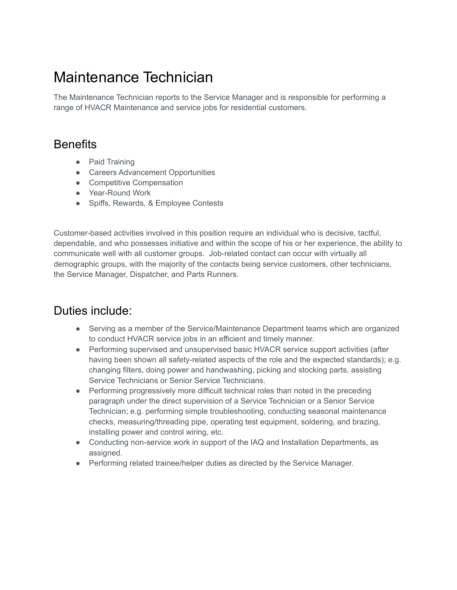## Maintenance Technician

The Maintenance Technician reports to the Service Manager and is responsible for performing a range of HVACR Maintenance and service jobs for residential customers.

## **Benefits**

- Paid Training
- Careers Advancement Opportunities
- Competitive Compensation
- Year-Round Work
- Spiffs, Rewards, & Employee Contests

Customer-based activities involved in this position require an individual who is decisive, tactful, dependable, and who possesses initiative and within the scope of his or her experience, the ability to communicate well with all customer groups. Job-related contact can occur with virtually all demographic groups, with the majority of the contacts being service customers, other technicians, the Service Manager, Dispatcher, and Parts Runners.

## Duties include:

- Serving as a member of the Service/Maintenance Department teams which are organized to conduct HVACR service jobs in an efficient and timely manner.
- Performing supervised and unsupervised basic HVACR service support activities (after having been shown all safety-related aspects of the role and the expected standards); e.g. changing filters, doing power and handwashing, picking and stocking parts, assisting Service Technicians or Senior Service Technicians.
- Performing progressively more difficult technical roles than noted in the preceding paragraph under the direct supervision of a Service Technician or a Senior Service Technician; e.g. performing simple troubleshooting, conducting seasonal maintenance checks, measuring/threading pipe, operating test equipment, soldering, and brazing, installing power and control wiring, etc.
- Conducting non-service work in support of the IAQ and Installation Departments, as assigned.
- Performing related trainee/helper duties as directed by the Service Manager.